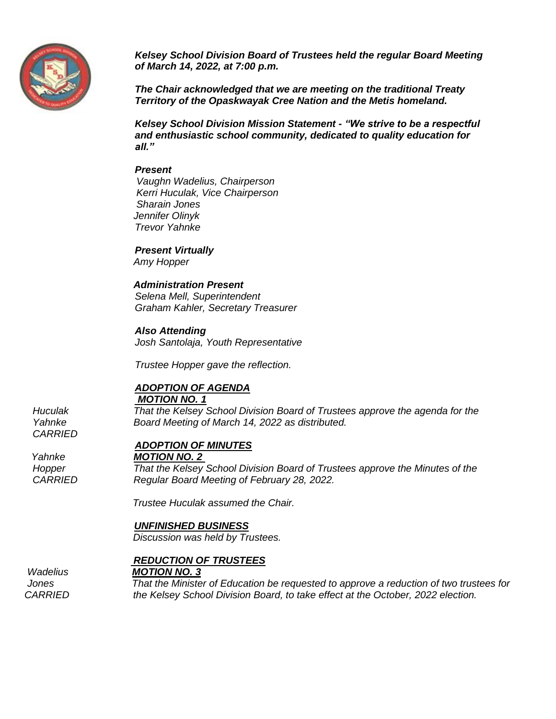

*Kelsey School Division Board of Trustees held the regular Board Meeting of March 14, 2022, at 7:00 p.m.*

*The Chair acknowledged that we are meeting on the traditional Treaty Territory of the Opaskwayak Cree Nation and the Metis homeland.*

*Kelsey School Division Mission Statement - "We strive to be a respectful and enthusiastic school community, dedicated to quality education for all."*

#### *Present*

 *Vaughn Wadelius, Chairperson Kerri Huculak, Vice Chairperson Sharain Jones Jennifer Olinyk Trevor Yahnke* 

*Present Virtually*

*Amy Hopper*

## *Administration Present*

*Selena Mell, Superintendent Graham Kahler, Secretary Treasurer*

*Also Attending Josh Santolaja, Youth Representative*

*Trustee Hopper gave the reflection.* 

#### *ADOPTION OF AGENDA MOTION NO. 1*

*Huculak That the Kelsey School Division Board of Trustees approve the agenda for the Yahnke Board Meeting of March 14, 2022 as distributed.*

### *ADOPTION OF MINUTES*

*Yahnke MOTION NO. 2* 

*Hopper That the Kelsey School Division Board of Trustees approve the Minutes of the CARRIED Regular Board Meeting of February 28, 2022.* 

 *Trustee Huculak assumed the Chair.*

#### *UNFINISHED BUSINESS*

 *Discussion was held by Trustees.*

#### *REDUCTION OF TRUSTEES*

#### *Wadelius MOTION NO. 3*

*Jones That the Minister of Education be requested to approve a reduction of two trustees for CARRIED the Kelsey School Division Board, to take effect at the October, 2022 election.* 

*CARRIED*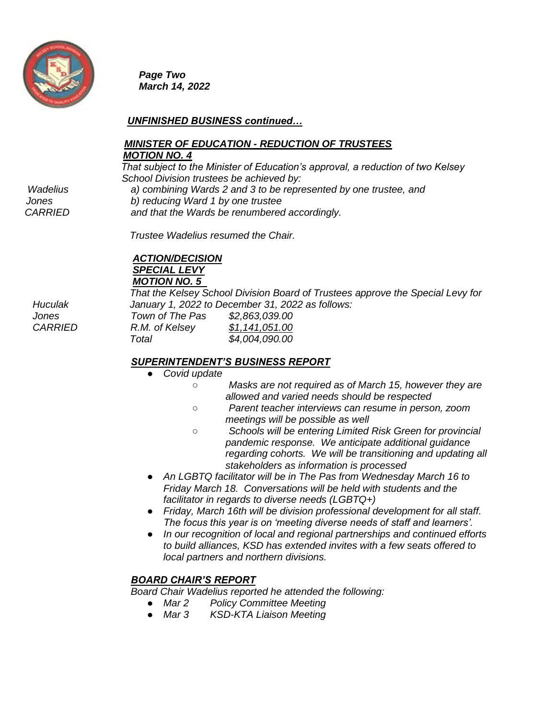

*Page Two March 14, 2022*

## *UNFINISHED BUSINESS continued…*

## *MINISTER OF EDUCATION - REDUCTION OF TRUSTEES MOTION NO. 4*

 *That subject to the Minister of Education's approval, a reduction of two Kelsey School Division trustees be achieved by: Wadelius a) combining Wards 2 and 3 to be represented by one trustee, and*

 *Jones b) reducing Ward 1 by one trustee*

 *CARRIED and that the Wards be renumbered accordingly.*

 *Trustee Wadelius resumed the Chair.*

# *ACTION/DECISION SPECIAL LEVY MOTION NO. 5*

 *That the Kelsey School Division Board of Trustees approve the Special Levy for Huculak January 1, 2022 to December 31, 2022 as follows:*

| Jones          | Town of The Pas | \$2,863,039.00 |
|----------------|-----------------|----------------|
| <i>CARRIED</i> | R.M. of Kelsey  | \$1,141,051.00 |
|                | Total           | \$4,004,090.00 |

# *SUPERINTENDENT'S BUSINESS REPORT*

- *Covid update*
	- *Masks are not required as of March 15, however they are allowed and varied needs should be respected*
	- *Parent teacher interviews can resume in person, zoom meetings will be possible as well*
	- *Schools will be entering Limited Risk Green for provincial pandemic response. We anticipate additional guidance regarding cohorts. We will be transitioning and updating all stakeholders as information is processed*
- *An LGBTQ facilitator will be in The Pas from Wednesday March 16 to Friday March 18. Conversations will be held with students and the facilitator in regards to diverse needs (LGBTQ+)*
- *Friday, March 16th will be division professional development for all staff. The focus this year is on 'meeting diverse needs of staff and learners'.*
- In our recognition of local and regional partnerships and continued efforts *to build alliances, KSD has extended invites with a few seats offered to local partners and northern divisions.*

# *BOARD CHAIR'S REPORT*

*Board Chair Wadelius reported he attended the following:*

- *Mar 2 Policy Committee Meeting*
- *Mar 3 KSD-KTA Liaison Meeting*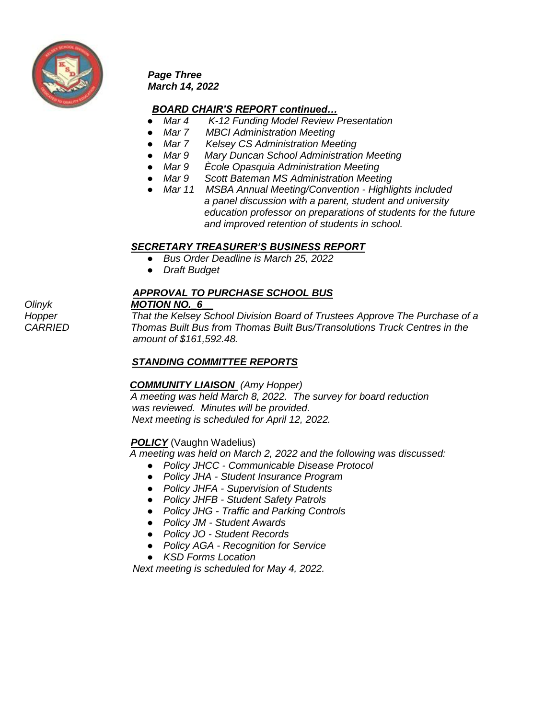

*Page Three March 14, 2022*

## *BOARD CHAIR'S REPORT continued…*

- *Mar 4 K-12 Funding Model Review Presentation*
- 
- *Mar 7 MBCI Administration Meeting*<br>● *Mar 7 Kelsey CS Administration Mee Kelsey CS Administration Meeting*
- *Mar 9 Mary Duncan School Administration Meeting*
- *Mar 9 Ècole Opasquia Administration Meeting*
- *Mar 9 Scott Bateman MS Administration Meeting*
- *Mar 11 MSBA Annual Meeting/Convention - Highlights included a panel discussion with a parent, student and university education professor on preparations of students for the future and improved retention of students in school.*

### *SECRETARY TREASURER'S BUSINESS REPORT*

- *Bus Order Deadline is March 25, 2022*
- *Draft Budget*

## *APPROVAL TO PURCHASE SCHOOL BUS*

*Olinyk MOTION NO.\_6\_\_*

*Hopper That the Kelsey School Division Board of Trustees Approve The Purchase of a CARRIED Thomas Built Bus from Thomas Built Bus/Transolutions Truck Centres in the amount of \$161,592.48.*

# *STANDING COMMITTEE REPORTS*

# *COMMUNITY LIAISON (Amy Hopper)*

*A meeting was held March 8, 2022. The survey for board reduction was reviewed. Minutes will be provided. Next meeting is scheduled for April 12, 2022.*

### *POLICY* (Vaughn Wadelius)

 *A meeting was held on March 2, 2022 and the following was discussed:*

- *Policy JHCC - Communicable Disease Protocol*
- *Policy JHA - Student Insurance Program*
- *Policy JHFA - Supervision of Students*
- *Policy JHFB - Student Safety Patrols*
- *Policy JHG - Traffic and Parking Controls*
- *Policy JM - Student Awards*
- *Policy JO - Student Records*
- *Policy AGA - Recognition for Service*
- *KSD Forms Location*

 *Next meeting is scheduled for May 4, 2022.*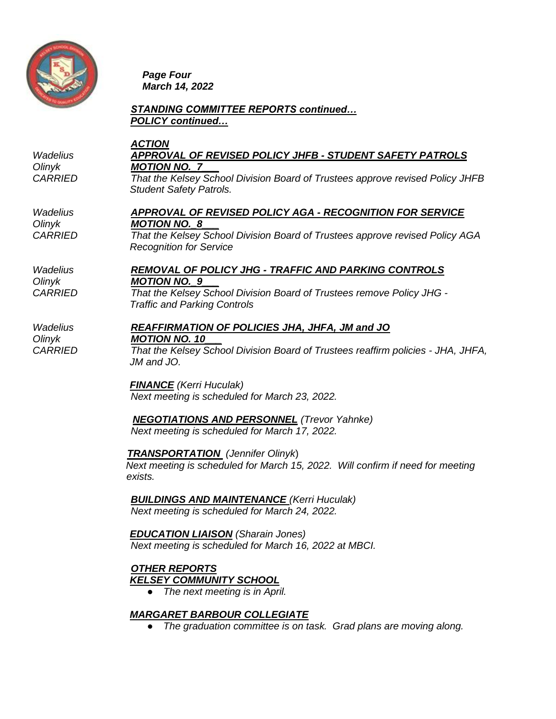

*Page Four March 14, 2022*

## *STANDING COMMITTEE REPORTS continued… POLICY continued…*

#### *ACTION Wadelius APPROVAL OF REVISED POLICY JHFB - STUDENT SAFETY PATROLS Olinyk MOTION NO.\_7\_\_\_*

*CARRIED That the Kelsey School Division Board of Trustees approve revised Policy JHFB Student Safety Patrols.*

#### *Wadelius APPROVAL OF REVISED POLICY AGA - RECOGNITION FOR SERVICE Olinyk MOTION NO.\_8\_\_\_*

*CARRIED That the Kelsey School Division Board of Trustees approve revised Policy AGA Recognition for Service*

#### *Wadelius REMOVAL OF POLICY JHG - TRAFFIC AND PARKING CONTROLS Olinyk MOTION NO.\_9\_\_\_*

*CARRIED That the Kelsey School Division Board of Trustees remove Policy JHG - Traffic and Parking Controls*

*Wadelius REAFFIRMATION OF POLICIES JHA, JHFA, JM and JO Olinyk MOTION NO. 10\_\_\_*

*CARRIED That the Kelsey School Division Board of Trustees reaffirm policies - JHA, JHFA, JM and JO.* 

> *FINANCE (Kerri Huculak) Next meeting is scheduled for March 23, 2022.*

 *NEGOTIATIONS AND PERSONNEL (Trevor Yahnke) Next meeting is scheduled for March 17, 2022.* 

 *TRANSPORTATION (Jennifer Olinyk*)

 *Next meeting is scheduled for March 15, 2022. Will confirm if need for meeting exists.*

*BUILDINGS AND MAINTENANCE (Kerri Huculak) Next meeting is scheduled for March 24, 2022.*

 *EDUCATION LIAISON (Sharain Jones) Next meeting is scheduled for March 16, 2022 at MBCI.*

*OTHER REPORTS KELSEY COMMUNITY SCHOOL*

*The next meeting is in April.* 

# *MARGARET BARBOUR COLLEGIATE*

● *The graduation committee is on task. Grad plans are moving along.*